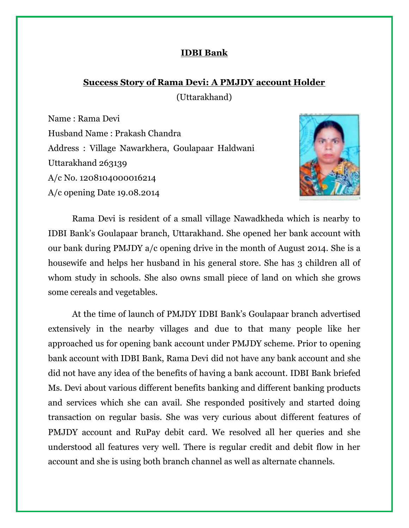### **IDBI Bank**

# **Success Story of Rama Devi: A PMJDY account Holder**

(Uttarakhand)

Name : Rama Devi Husband Name : Prakash Chandra Address : Village Nawarkhera, Goulapaar Haldwani Uttarakhand 263139 A/c No. 1208104000016214 A/c opening Date 19.08.2014



Rama Devi is resident of a small village Nawadkheda which is nearby to IDBI Bank's Goulapaar branch, Uttarakhand. She opened her bank account with our bank during PMJDY a/c opening drive in the month of August 2014. She is a housewife and helps her husband in his general store. She has 3 children all of whom study in schools. She also owns small piece of land on which she grows some cereals and vegetables.

At the time of launch of PMJDY IDBI Bank's Goulapaar branch advertised extensively in the nearby villages and due to that many people like her approached us for opening bank account under PMJDY scheme. Prior to opening bank account with IDBI Bank, Rama Devi did not have any bank account and she did not have any idea of the benefits of having a bank account. IDBI Bank briefed Ms. Devi about various different benefits banking and different banking products and services which she can avail. She responded positively and started doing transaction on regular basis. She was very curious about different features of PMJDY account and RuPay debit card. We resolved all her queries and she understood all features very well. There is regular credit and debit flow in her account and she is using both branch channel as well as alternate channels.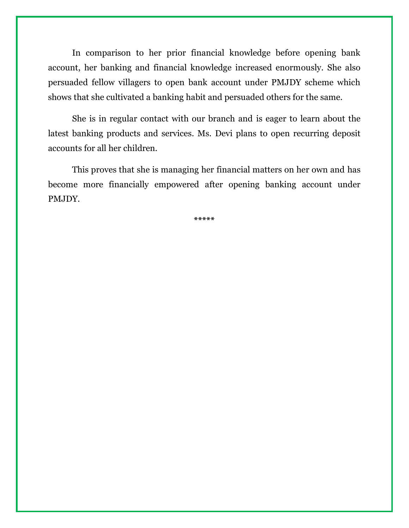In comparison to her prior financial knowledge before opening bank account, her banking and financial knowledge increased enormously. She also persuaded fellow villagers to open bank account under PMJDY scheme which shows that she cultivated a banking habit and persuaded others for the same.

She is in regular contact with our branch and is eager to learn about the latest banking products and services. Ms. Devi plans to open recurring deposit accounts for all her children.

This proves that she is managing her financial matters on her own and has become more financially empowered after opening banking account under PMJDY.

**\*\*\*\*\***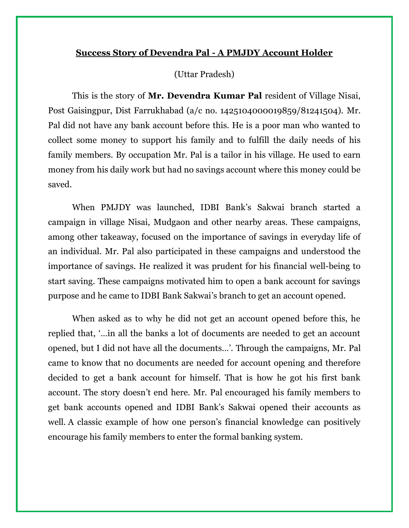## **Success Story of Devendra Pal - A PMJDY Account Holder**

#### (Uttar Pradesh)

This is the story of **Mr. Devendra Kumar Pal** resident of Village Nisai, Post Gaisingpur, Dist Farrukhabad (a/c no. 1425104000019859/81241504). Mr. Pal did not have any bank account before this. He is a poor man who wanted to collect some money to support his family and to fulfill the daily needs of his family members. By occupation Mr. Pal is a tailor in his village. He used to earn money from his daily work but had no savings account where this money could be saved.

When PMJDY was launched, IDBI Bank's Sakwai branch started a campaign in village Nisai, Mudgaon and other nearby areas. These campaigns, among other takeaway, focused on the importance of savings in everyday life of an individual. Mr. Pal also participated in these campaigns and understood the importance of savings. He realized it was prudent for his financial well-being to start saving. These campaigns motivated him to open a bank account for savings purpose and he came to IDBI Bank Sakwai's branch to get an account opened.

When asked as to why he did not get an account opened before this, he replied that, '…in all the banks a lot of documents are needed to get an account opened, but I did not have all the documents…'. Through the campaigns, Mr. Pal came to know that no documents are needed for account opening and therefore decided to get a bank account for himself. That is how he got his first bank account. The story doesn't end here. Mr. Pal encouraged his family members to get bank accounts opened and IDBI Bank's Sakwai opened their accounts as well. A classic example of how one person's financial knowledge can positively encourage his family members to enter the formal banking system.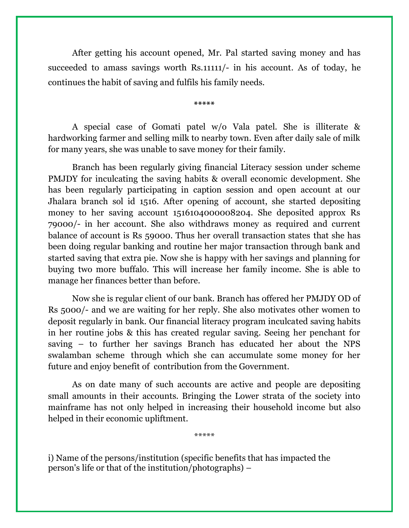After getting his account opened, Mr. Pal started saving money and has succeeded to amass savings worth Rs.11111/- in his account. As of today, he continues the habit of saving and fulfils his family needs.

**\*\*\*\*\***

A special case of Gomati patel w/o Vala patel. She is illiterate & hardworking farmer and selling milk to nearby town. Even after daily sale of milk for many years, she was unable to save money for their family.

Branch has been regularly giving financial Literacy session under scheme PMJDY for inculcating the saving habits & overall economic development. She has been regularly participating in caption session and open account at our Jhalara branch sol id 1516. After opening of account, she started depositing money to her saving account 1516104000008204. She deposited approx Rs 79000/- in her account. She also withdraws money as required and current balance of account is Rs 59000. Thus her overall transaction states that she has been doing regular banking and routine her major transaction through bank and started saving that extra pie. Now she is happy with her savings and planning for buying two more buffalo. This will increase her family income. She is able to manage her finances better than before.

Now she is regular client of our bank. Branch has offered her PMJDY OD of Rs 5000/- and we are waiting for her reply. She also motivates other women to deposit regularly in bank. Our financial literacy program inculcated saving habits in her routine jobs & this has created regular saving. Seeing her penchant for saving – to further her savings Branch has educated her about the NPS swalamban scheme through which she can accumulate some money for her future and enjoy benefit of contribution from the Government.

As on date many of such accounts are active and people are depositing small amounts in their accounts. Bringing the Lower strata of the society into mainframe has not only helped in increasing their household income but also helped in their economic upliftment.

\*\*\*\*\*

i) Name of the persons/institution (specific benefits that has impacted the person's life or that of the institution/photographs) –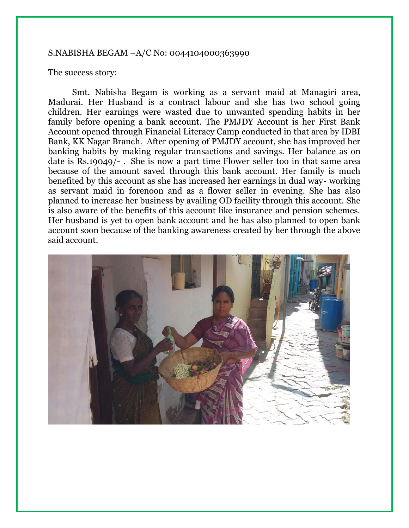#### S.NABISHA BEGAM –A/C No: 0044104000363990

#### The success story:

Smt. Nabisha Begam is working as a servant maid at Managiri area, Madurai. Her Husband is a contract labour and she has two school going children. Her earnings were wasted due to unwanted spending habits in her family before opening a bank account. The PMJDY Account is her First Bank Account opened through Financial Literacy Camp conducted in that area by IDBI Bank, KK Nagar Branch. After opening of PMJDY account, she has improved her banking habits by making regular transactions and savings. Her balance as on date is Rs.19049/- . She is now a part time Flower seller too in that same area because of the amount saved through this bank account. Her family is much benefited by this account as she has increased her earnings in dual way- working as servant maid in forenoon and as a flower seller in evening. She has also planned to increase her business by availing OD facility through this account. She is also aware of the benefits of this account like insurance and pension schemes. Her husband is yet to open bank account and he has also planned to open bank account soon because of the banking awareness created by her through the above said account.

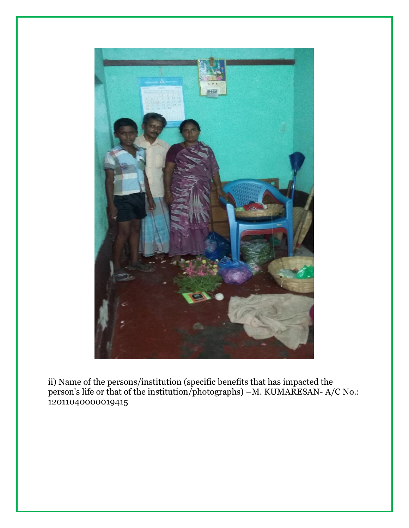

ii) Name of the persons/institution (specific benefits that has impacted the person's life or that of the institution/photographs) –M. KUMARESAN- A/C No.: 12011040000019415